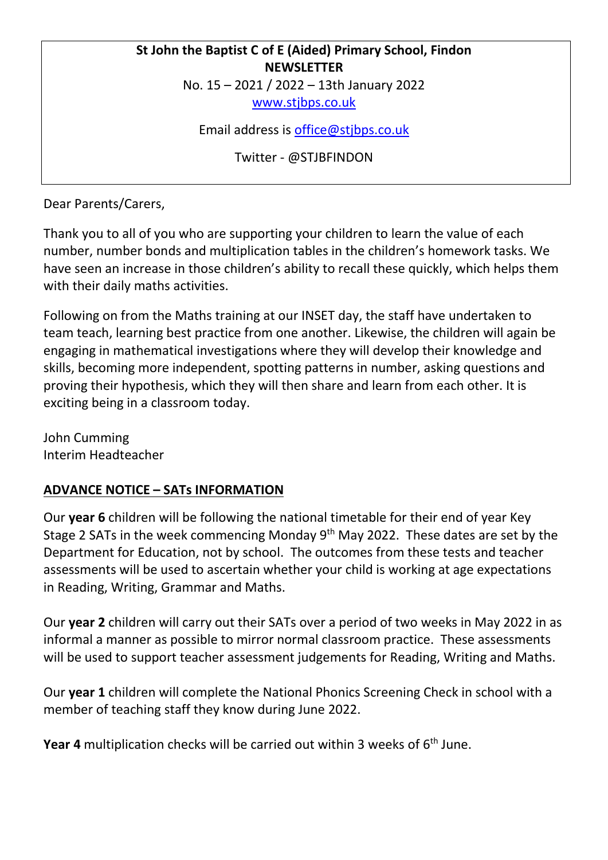## **St John the Baptist C of E (Aided) Primary School, Findon NEWSLETTER**

No. 15 – 2021 / 2022 – 13th January 2022

[www.stjbps.co.uk](http://www.stjbps.co.uk/)

Email address is [office@stjbps.co.uk](mailto:office@stjbps.co.uk)

Twitter - @STJBFINDON

Dear Parents/Carers,

Thank you to all of you who are supporting your children to learn the value of each number, number bonds and multiplication tables in the children's homework tasks. We have seen an increase in those children's ability to recall these quickly, which helps them with their daily maths activities.

Following on from the Maths training at our INSET day, the staff have undertaken to team teach, learning best practice from one another. Likewise, the children will again be engaging in mathematical investigations where they will develop their knowledge and skills, becoming more independent, spotting patterns in number, asking questions and proving their hypothesis, which they will then share and learn from each other. It is exciting being in a classroom today.

John Cumming Interim Headteacher

## **ADVANCE NOTICE – SATs INFORMATION**

Our **year 6** children will be following the national timetable for their end of year Key Stage 2 SATs in the week commencing Monday 9th May 2022. These dates are set by the Department for Education, not by school. The outcomes from these tests and teacher assessments will be used to ascertain whether your child is working at age expectations in Reading, Writing, Grammar and Maths.

Our **year 2** children will carry out their SATs over a period of two weeks in May 2022 in as informal a manner as possible to mirror normal classroom practice. These assessments will be used to support teacher assessment judgements for Reading, Writing and Maths.

Our **year 1** children will complete the National Phonics Screening Check in school with a member of teaching staff they know during June 2022.

**Year 4** multiplication checks will be carried out within 3 weeks of 6<sup>th</sup> June.